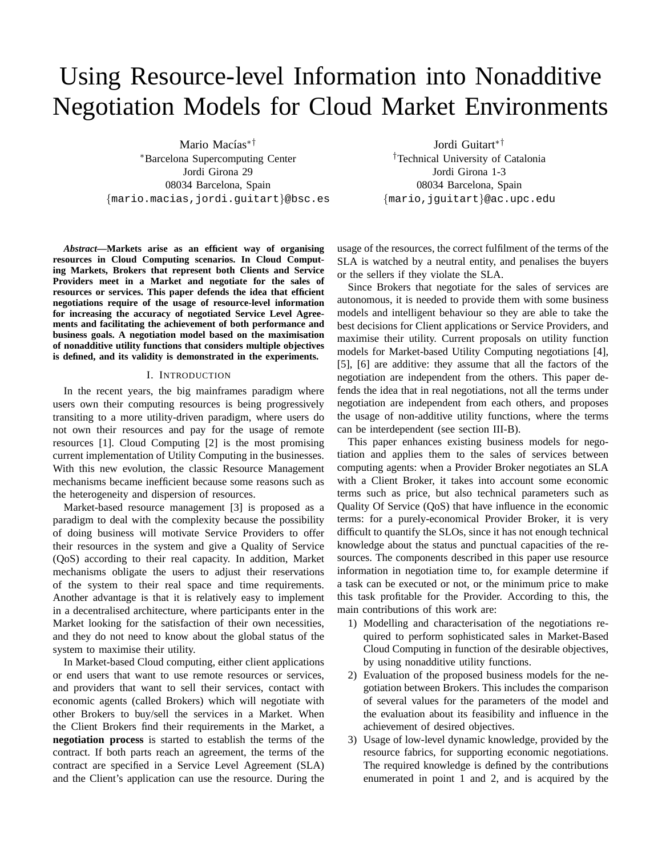# Using Resource-level Information into Nonadditive Negotiation Models for Cloud Market Environments

Mario Macías<sup>∗†</sup>

<sup>∗</sup>Barcelona Supercomputing Center Jordi Girona 29 08034 Barcelona, Spain {mario.macias,jordi.guitart}@bsc.es

*Abstract***—Markets arise as an efficient way of organising resources in Cloud Computing scenarios. In Cloud Computing Markets, Brokers that represent both Clients and Service Providers meet in a Market and negotiate for the sales of resources or services. This paper defends the idea that efficient negotiations require of the usage of resource-level information for increasing the accuracy of negotiated Service Level Agreements and facilitating the achievement of both performance and business goals. A negotiation model based on the maximisation of nonadditive utility functions that considers multiple objectives is defined, and its validity is demonstrated in the experiments.**

# I. INTRODUCTION

In the recent years, the big mainframes paradigm where users own their computing resources is being progressively transiting to a more utility-driven paradigm, where users do not own their resources and pay for the usage of remote resources [1]. Cloud Computing [2] is the most promising current implementation of Utility Computing in the businesses. With this new evolution, the classic Resource Management mechanisms became inefficient because some reasons such as the heterogeneity and dispersion of resources.

Market-based resource management [3] is proposed as a paradigm to deal with the complexity because the possibility of doing business will motivate Service Providers to offer their resources in the system and give a Quality of Service (QoS) according to their real capacity. In addition, Market mechanisms obligate the users to adjust their reservations of the system to their real space and time requirements. Another advantage is that it is relatively easy to implement in a decentralised architecture, where participants enter in the Market looking for the satisfaction of their own necessities, and they do not need to know about the global status of the system to maximise their utility.

In Market-based Cloud computing, either client applications or end users that want to use remote resources or services, and providers that want to sell their services, contact with economic agents (called Brokers) which will negotiate with other Brokers to buy/sell the services in a Market. When the Client Brokers find their requirements in the Market, a **negotiation process** is started to establish the terms of the contract. If both parts reach an agreement, the terms of the contract are specified in a Service Level Agreement (SLA) and the Client's application can use the resource. During the

Jordi Guitart∗† †Technical University of Catalonia

Jordi Girona 1-3 08034 Barcelona, Spain {mario,jguitart}@ac.upc.edu

usage of the resources, the correct fulfilment of the terms of the SLA is watched by a neutral entity, and penalises the buyers or the sellers if they violate the SLA.

Since Brokers that negotiate for the sales of services are autonomous, it is needed to provide them with some business models and intelligent behaviour so they are able to take the best decisions for Client applications or Service Providers, and maximise their utility. Current proposals on utility function models for Market-based Utility Computing negotiations [4], [5], [6] are additive: they assume that all the factors of the negotiation are independent from the others. This paper defends the idea that in real negotiations, not all the terms under negotiation are independent from each others, and proposes the usage of non-additive utility functions, where the terms can be interdependent (see section III-B).

This paper enhances existing business models for negotiation and applies them to the sales of services between computing agents: when a Provider Broker negotiates an SLA with a Client Broker, it takes into account some economic terms such as price, but also technical parameters such as Quality Of Service (QoS) that have influence in the economic terms: for a purely-economical Provider Broker, it is very difficult to quantify the SLOs, since it has not enough technical knowledge about the status and punctual capacities of the resources. The components described in this paper use resource information in negotiation time to, for example determine if a task can be executed or not, or the minimum price to make this task profitable for the Provider. According to this, the main contributions of this work are:

- 1) Modelling and characterisation of the negotiations required to perform sophisticated sales in Market-Based Cloud Computing in function of the desirable objectives, by using nonadditive utility functions.
- 2) Evaluation of the proposed business models for the negotiation between Brokers. This includes the comparison of several values for the parameters of the model and the evaluation about its feasibility and influence in the achievement of desired objectives.
- 3) Usage of low-level dynamic knowledge, provided by the resource fabrics, for supporting economic negotiations. The required knowledge is defined by the contributions enumerated in point 1 and 2, and is acquired by the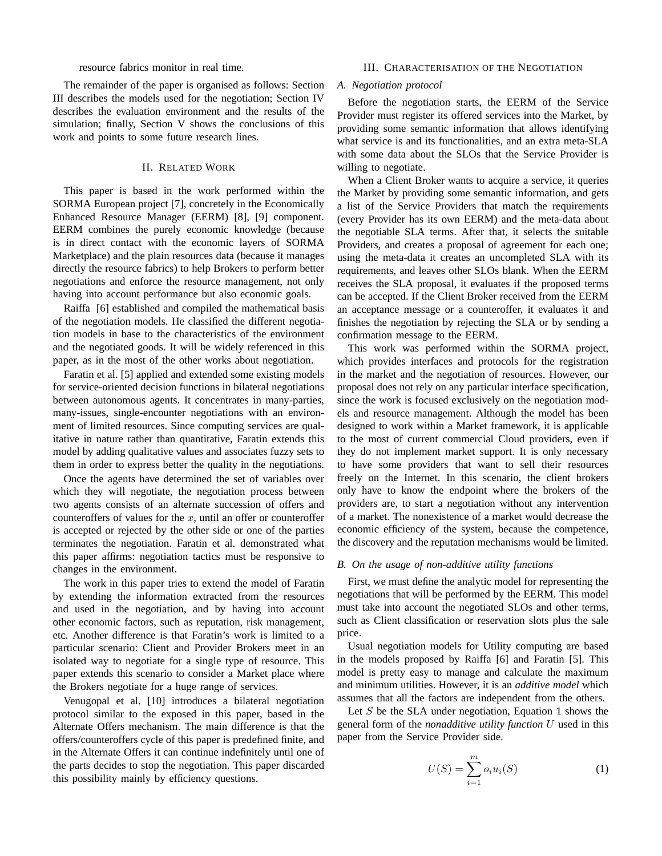resource fabrics monitor in real time.

The remainder of the paper is organised as follows: Section III describes the models used for the negotiation; Section IV describes the evaluation environment and the results of the simulation; finally, Section V shows the conclusions of this work and points to some future research lines.

# II. RELATED WORK

This paper is based in the work performed within the SORMA European project [7], concretely in the Economically Enhanced Resource Manager (EERM) [8], [9] component. EERM combines the purely economic knowledge (because is in direct contact with the economic layers of SORMA Marketplace) and the plain resources data (because it manages directly the resource fabrics) to help Brokers to perform better negotiations and enforce the resource management, not only having into account performance but also economic goals.

Raiffa [6] established and compiled the mathematical basis of the negotiation models. He classified the different negotiation models in base to the characteristics of the environment and the negotiated goods. It will be widely referenced in this paper, as in the most of the other works about negotiation.

Faratin et al. [5] applied and extended some existing models for service-oriented decision functions in bilateral negotiations between autonomous agents. It concentrates in many-parties, many-issues, single-encounter negotiations with an environment of limited resources. Since computing services are qualitative in nature rather than quantitative, Faratin extends this model by adding qualitative values and associates fuzzy sets to them in order to express better the quality in the negotiations.

Once the agents have determined the set of variables over which they will negotiate, the negotiation process between two agents consists of an alternate succession of offers and counteroffers of values for the  $x$ , until an offer or counteroffer is accepted or rejected by the other side or one of the parties terminates the negotiation. Faratin et al. demonstrated what this paper affirms: negotiation tactics must be responsive to changes in the environment.

The work in this paper tries to extend the model of Faratin by extending the information extracted from the resources and used in the negotiation, and by having into account other economic factors, such as reputation, risk management, etc. Another difference is that Faratin's work is limited to a particular scenario: Client and Provider Brokers meet in an isolated way to negotiate for a single type of resource. This paper extends this scenario to consider a Market place where the Brokers negotiate for a huge range of services.

Venugopal et al. [10] introduces a bilateral negotiation protocol similar to the exposed in this paper, based in the Alternate Offers mechanism. The main difference is that the offers/counteroffers cycle of this paper is predefined finite, and in the Alternate Offers it can continue indefinitely until one of the parts decides to stop the negotiation. This paper discarded this possibility mainly by efficiency questions.

### III. CHARACTERISATION OF THE NEGOTIATION

#### *A. Negotiation protocol*

Before the negotiation starts, the EERM of the Service Provider must register its offered services into the Market, by providing some semantic information that allows identifying what service is and its functionalities, and an extra meta-SLA with some data about the SLOs that the Service Provider is willing to negotiate.

When a Client Broker wants to acquire a service, it queries the Market by providing some semantic information, and gets a list of the Service Providers that match the requirements (every Provider has its own EERM) and the meta-data about the negotiable SLA terms. After that, it selects the suitable Providers, and creates a proposal of agreement for each one; using the meta-data it creates an uncompleted SLA with its requirements, and leaves other SLOs blank. When the EERM receives the SLA proposal, it evaluates if the proposed terms can be accepted. If the Client Broker received from the EERM an acceptance message or a counteroffer, it evaluates it and finishes the negotiation by rejecting the SLA or by sending a confirmation message to the EERM.

This work was performed within the SORMA project, which provides interfaces and protocols for the registration in the market and the negotiation of resources. However, our proposal does not rely on any particular interface specification, since the work is focused exclusively on the negotiation models and resource management. Although the model has been designed to work within a Market framework, it is applicable to the most of current commercial Cloud providers, even if they do not implement market support. It is only necessary to have some providers that want to sell their resources freely on the Internet. In this scenario, the client brokers only have to know the endpoint where the brokers of the providers are, to start a negotiation without any intervention of a market. The nonexistence of a market would decrease the economic efficiency of the system, because the competence, the discovery and the reputation mechanisms would be limited.

# *B. On the usage of non-additive utility functions*

First, we must define the analytic model for representing the negotiations that will be performed by the EERM. This model must take into account the negotiated SLOs and other terms, such as Client classification or reservation slots plus the sale price.

Usual negotiation models for Utility computing are based in the models proposed by Raiffa [6] and Faratin [5]. This model is pretty easy to manage and calculate the maximum and minimum utilities. However, it is an *additive model* which assumes that all the factors are independent from the others.

Let  $S$  be the SLA under negotiation, Equation 1 shows the general form of the *nonadditive utility function* U used in this paper from the Service Provider side.

$$
U(S) = \sum_{i=1}^{m} o_i u_i(S)
$$
 (1)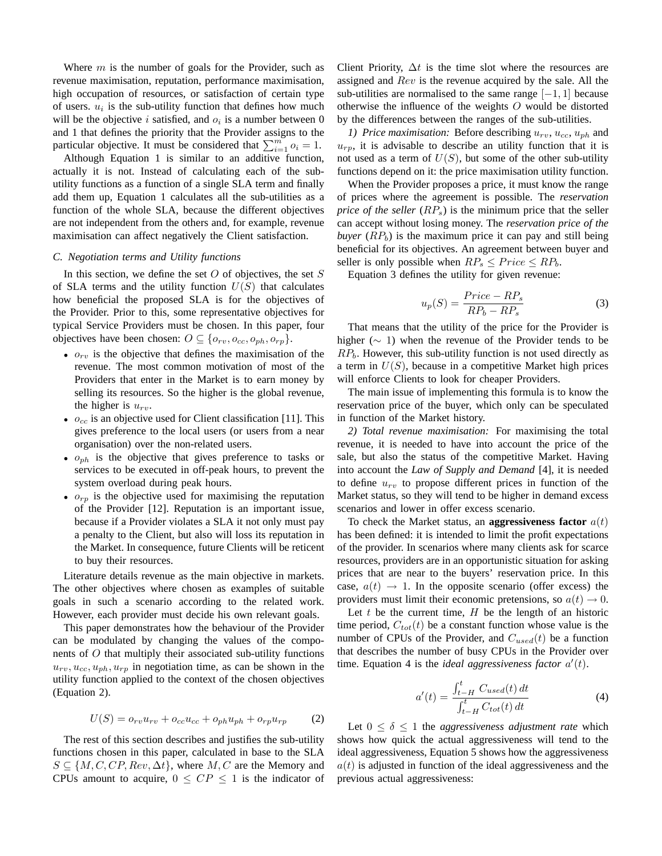Where  $m$  is the number of goals for the Provider, such as revenue maximisation, reputation, performance maximisation, high occupation of resources, or satisfaction of certain type of users.  $u_i$  is the sub-utility function that defines how much will be the objective i satisfied, and  $o_i$  is a number between 0 and 1 that defines the priority that the Provider assigns to the particular objective. It must be considered that  $\sum_{i=1}^{m} o_i = 1$ .

Although Equation 1 is similar to an additive function, actually it is not. Instead of calculating each of the subutility functions as a function of a single SLA term and finally add them up, Equation 1 calculates all the sub-utilities as a function of the whole SLA, because the different objectives are not independent from the others and, for example, revenue maximisation can affect negatively the Client satisfaction.

# *C. Negotiation terms and Utility functions*

In this section, we define the set  $O$  of objectives, the set  $S$ of SLA terms and the utility function  $U(S)$  that calculates how beneficial the proposed SLA is for the objectives of the Provider. Prior to this, some representative objectives for typical Service Providers must be chosen. In this paper, four objectives have been chosen:  $O \subseteq \{o_{rv}, o_{cc}, o_{ph}, o_{rp}\}.$ 

- $o_{rv}$  is the objective that defines the maximisation of the revenue. The most common motivation of most of the Providers that enter in the Market is to earn money by selling its resources. So the higher is the global revenue, the higher is  $u_{rv}$ .
- $o_{cc}$  is an objective used for Client classification [11]. This gives preference to the local users (or users from a near organisation) over the non-related users.
- $o_{ph}$  is the objective that gives preference to tasks or services to be executed in off-peak hours, to prevent the system overload during peak hours.
- $o_{rp}$  is the objective used for maximising the reputation of the Provider [12]. Reputation is an important issue, because if a Provider violates a SLA it not only must pay a penalty to the Client, but also will loss its reputation in the Market. In consequence, future Clients will be reticent to buy their resources.

Literature details revenue as the main objective in markets. The other objectives where chosen as examples of suitable goals in such a scenario according to the related work. However, each provider must decide his own relevant goals.

This paper demonstrates how the behaviour of the Provider can be modulated by changing the values of the components of  $O$  that multiply their associated sub-utility functions  $u_{rv}, u_{cc}, u_{ph}, u_{rr}$  in negotiation time, as can be shown in the utility function applied to the context of the chosen objectives (Equation 2).

$$
U(S) = o_{rv}u_{rv} + o_{cc}u_{cc} + o_{ph}u_{ph} + o_{rp}u_{rp}
$$
 (2)

The rest of this section describes and justifies the sub-utility functions chosen in this paper, calculated in base to the SLA  $S \subseteq \{M, C, CP, Rev, \Delta t\}$ , where  $M, C$  are the Memory and CPUs amount to acquire,  $0 \leq CP \leq 1$  is the indicator of Client Priority,  $\Delta t$  is the time slot where the resources are assigned and *Rev* is the revenue acquired by the sale. All the sub-utilities are normalised to the same range  $[-1, 1]$  because otherwise the influence of the weights  $O$  would be distorted by the differences between the ranges of the sub-utilities.

*1) Price maximisation:* Before describing  $u_{rv}$ ,  $u_{cc}$ ,  $u_{ph}$  and  $u_{rp}$ , it is advisable to describe an utility function that it is not used as a term of  $U(S)$ , but some of the other sub-utility functions depend on it: the price maximisation utility function.

When the Provider proposes a price, it must know the range of prices where the agreement is possible. The *reservation price of the seller*  $(RP<sub>s</sub>)$  is the minimum price that the seller can accept without losing money. The *reservation price of the buyer*  $(RP_b)$  is the maximum price it can pay and still being beneficial for its objectives. An agreement between buyer and seller is only possible when  $RP_s \leq Price \leq RP_b$ .

Equation 3 defines the utility for given revenue:

$$
u_p(S) = \frac{Price - RP_s}{RP_b - RP_s} \tag{3}
$$

That means that the utility of the price for the Provider is higher (∼ 1) when the revenue of the Provider tends to be  $RP<sub>b</sub>$ . However, this sub-utility function is not used directly as a term in  $U(S)$ , because in a competitive Market high prices will enforce Clients to look for cheaper Providers.

The main issue of implementing this formula is to know the reservation price of the buyer, which only can be speculated in function of the Market history.

*2) Total revenue maximisation:* For maximising the total revenue, it is needed to have into account the price of the sale, but also the status of the competitive Market. Having into account the *Law of Supply and Demand* [4], it is needed to define  $u_{rv}$  to propose different prices in function of the Market status, so they will tend to be higher in demand excess scenarios and lower in offer excess scenario.

To check the Market status, an **aggressiveness factor**  $a(t)$ has been defined: it is intended to limit the profit expectations of the provider. In scenarios where many clients ask for scarce resources, providers are in an opportunistic situation for asking prices that are near to the buyers' reservation price. In this case,  $a(t) \rightarrow 1$ . In the opposite scenario (offer excess) the providers must limit their economic pretensions, so  $a(t) \rightarrow 0$ .

Let  $t$  be the current time,  $H$  be the length of an historic time period,  $C_{tot}(t)$  be a constant function whose value is the number of CPUs of the Provider, and  $C_{used}(t)$  be a function that describes the number of busy CPUs in the Provider over time. Equation 4 is the *ideal aggressiveness factor*  $a'(t)$ .

$$
a'(t) = \frac{\int_{t-H}^{t} C_{used}(t) dt}{\int_{t-H}^{t} C_{tot}(t) dt}
$$
 (4)

Let  $0 \leq \delta \leq 1$  the *aggressiveness adjustment rate* which shows how quick the actual aggressiveness will tend to the ideal aggressiveness, Equation 5 shows how the aggressiveness  $a(t)$  is adjusted in function of the ideal aggressiveness and the previous actual aggressiveness: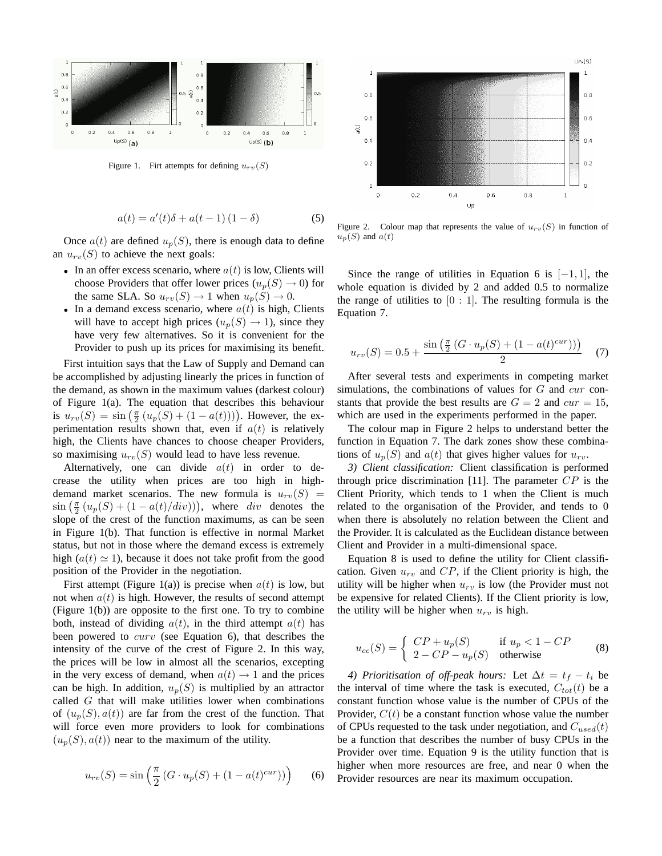

Figure 1. Firt attempts for defining  $u_{rv}(S)$ 

$$
a(t) = a'(t)\delta + a(t-1)(1-\delta)
$$
 (5)

Once  $a(t)$  are defined  $u_p(S)$ , there is enough data to define an  $u_{rv}(S)$  to achieve the next goals:

- In an offer excess scenario, where  $a(t)$  is low, Clients will choose Providers that offer lower prices  $(u_p(S) \to 0)$  for the same SLA. So  $u_{rv}(S) \to 1$  when  $u_p(S) \to 0$ .
- In a demand excess scenario, where  $a(t)$  is high, Clients will have to accept high prices  $(u_p(S) \rightarrow 1)$ , since they have very few alternatives. So it is convenient for the Provider to push up its prices for maximising its benefit.

First intuition says that the Law of Supply and Demand can be accomplished by adjusting linearly the prices in function of the demand, as shown in the maximum values (darkest colour) of Figure 1(a). The equation that describes this behaviour is  $u_{rv}(S) = \sin(\frac{\pi}{2}(u_p(S) + (1 - a(t))))$ . However, the experimentation results shown that, even if  $a(t)$  is relatively high, the Clients have chances to choose cheaper Providers, so maximising  $u_{rv}(S)$  would lead to have less revenue.

Alternatively, one can divide  $a(t)$  in order to decrease the utility when prices are too high in highdemand market scenarios. The new formula is  $u_{rv}(S)$  =  $\sin\left(\frac{\pi}{2}\left(u_p(S)+(1-a(t)/div)\right)\right)$ , where div denotes the slope of the crest of the function maximums, as can be seen in Figure 1(b). That function is effective in normal Market status, but not in those where the demand excess is extremely high ( $a(t) \approx 1$ ), because it does not take profit from the good position of the Provider in the negotiation.

First attempt (Figure 1(a)) is precise when  $a(t)$  is low, but not when  $a(t)$  is high. However, the results of second attempt (Figure 1(b)) are opposite to the first one. To try to combine both, instead of dividing  $a(t)$ , in the third attempt  $a(t)$  has been powered to *curv* (see Equation 6), that describes the intensity of the curve of the crest of Figure 2. In this way, the prices will be low in almost all the scenarios, excepting in the very excess of demand, when  $a(t) \rightarrow 1$  and the prices can be high. In addition,  $u_p(S)$  is multiplied by an attractor called  $G$  that will make utilities lower when combinations of  $(u_p(S), a(t))$  are far from the crest of the function. That will force even more providers to look for combinations  $(u_p(S), a(t))$  near to the maximum of the utility.

$$
u_{rv}(S) = \sin\left(\frac{\pi}{2} \left(G \cdot u_p(S) + (1 - a(t)^{cur})\right)\right) \tag{6}
$$



Figure 2. Colour map that represents the value of  $u_{rv}(S)$  in function of  $u_p(S)$  and  $a(t)$ 

Since the range of utilities in Equation 6 is  $[-1, 1]$ , the whole equation is divided by 2 and added 0.5 to normalize the range of utilities to  $[0:1]$ . The resulting formula is the Equation 7.

$$
u_{rv}(S) = 0.5 + \frac{\sin\left(\frac{\pi}{2}(G \cdot u_p(S) + (1 - a(t)^{cur}))\right)}{2} \tag{7}
$$

After several tests and experiments in competing market simulations, the combinations of values for  $G$  and  $cur$  constants that provide the best results are  $G = 2$  and  $cur = 15$ , which are used in the experiments performed in the paper.

The colour map in Figure 2 helps to understand better the function in Equation 7. The dark zones show these combinations of  $u_p(S)$  and  $a(t)$  that gives higher values for  $u_{rv}$ .

*3) Client classification:* Client classification is performed through price discrimination [11]. The parameter  $CP$  is the Client Priority, which tends to 1 when the Client is much related to the organisation of the Provider, and tends to 0 when there is absolutely no relation between the Client and the Provider. It is calculated as the Euclidean distance between Client and Provider in a multi-dimensional space.

Equation 8 is used to define the utility for Client classification. Given  $u_{rv}$  and  $CP$ , if the Client priority is high, the utility will be higher when  $u_{rr}$  is low (the Provider must not be expensive for related Clients). If the Client priority is low, the utility will be higher when  $u_{rv}$  is high.

$$
u_{cc}(S) = \begin{cases} CP + u_p(S) & \text{if } u_p < 1 - CP \\ 2 - CP - u_p(S) & \text{otherwise} \end{cases}
$$
 (8)

*4) Prioritisation of off-peak hours:* Let  $\Delta t = t_f - t_i$  be the interval of time where the task is executed,  $C_{tot}(t)$  be a constant function whose value is the number of CPUs of the Provider,  $C(t)$  be a constant function whose value the number of CPUs requested to the task under negotiation, and  $C_{used}(t)$ be a function that describes the number of busy CPUs in the Provider over time. Equation 9 is the utility function that is higher when more resources are free, and near 0 when the Provider resources are near its maximum occupation.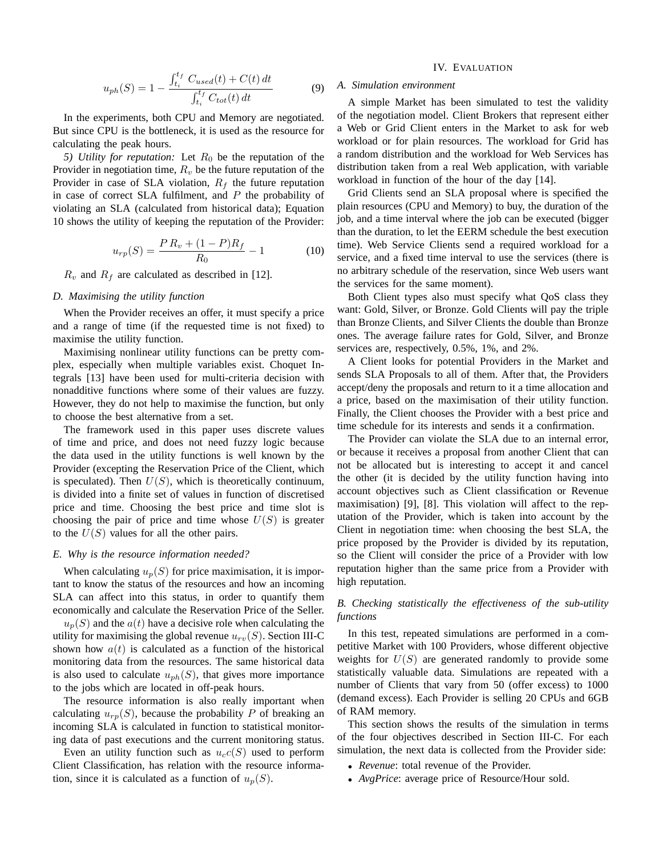$$
u_{ph}(S) = 1 - \frac{\int_{t_i}^{t_f} C_{used}(t) + C(t) dt}{\int_{t_i}^{t_f} C_{tot}(t) dt}
$$
(9)

In the experiments, both CPU and Memory are negotiated. But since CPU is the bottleneck, it is used as the resource for calculating the peak hours.

*5) Utility for reputation:* Let  $R_0$  be the reputation of the Provider in negotiation time,  $R_v$  be the future reputation of the Provider in case of SLA violation,  $R_f$  the future reputation in case of correct SLA fulfilment, and  $P$  the probability of violating an SLA (calculated from historical data); Equation 10 shows the utility of keeping the reputation of the Provider:

$$
u_{rp}(S) = \frac{P R_v + (1 - P)R_f}{R_0} - 1
$$
 (10)

 $R_v$  and  $R_f$  are calculated as described in [12].

## *D. Maximising the utility function*

When the Provider receives an offer, it must specify a price and a range of time (if the requested time is not fixed) to maximise the utility function.

Maximising nonlinear utility functions can be pretty complex, especially when multiple variables exist. Choquet Integrals [13] have been used for multi-criteria decision with nonadditive functions where some of their values are fuzzy. However, they do not help to maximise the function, but only to choose the best alternative from a set.

The framework used in this paper uses discrete values of time and price, and does not need fuzzy logic because the data used in the utility functions is well known by the Provider (excepting the Reservation Price of the Client, which is speculated). Then  $U(S)$ , which is theoretically continuum, is divided into a finite set of values in function of discretised price and time. Choosing the best price and time slot is choosing the pair of price and time whose  $U(S)$  is greater to the  $U(S)$  values for all the other pairs.

# *E. Why is the resource information needed?*

When calculating  $u_p(S)$  for price maximisation, it is important to know the status of the resources and how an incoming SLA can affect into this status, in order to quantify them economically and calculate the Reservation Price of the Seller.

 $u_p(S)$  and the  $a(t)$  have a decisive role when calculating the utility for maximising the global revenue  $u_{rv}(S)$ . Section III-C shown how  $a(t)$  is calculated as a function of the historical monitoring data from the resources. The same historical data is also used to calculate  $u_{ph}(S)$ , that gives more importance to the jobs which are located in off-peak hours.

The resource information is also really important when calculating  $u_{rp}(S)$ , because the probability P of breaking an incoming SLA is calculated in function to statistical monitoring data of past executions and the current monitoring status.

Even an utility function such as  $u_c c(S)$  used to perform Client Classification, has relation with the resource information, since it is calculated as a function of  $u_p(S)$ .

### IV. EVALUATION

#### *A. Simulation environment*

A simple Market has been simulated to test the validity of the negotiation model. Client Brokers that represent either a Web or Grid Client enters in the Market to ask for web workload or for plain resources. The workload for Grid has a random distribution and the workload for Web Services has distribution taken from a real Web application, with variable workload in function of the hour of the day [14].

Grid Clients send an SLA proposal where is specified the plain resources (CPU and Memory) to buy, the duration of the job, and a time interval where the job can be executed (bigger than the duration, to let the EERM schedule the best execution time). Web Service Clients send a required workload for a service, and a fixed time interval to use the services (there is no arbitrary schedule of the reservation, since Web users want the services for the same moment).

Both Client types also must specify what QoS class they want: Gold, Silver, or Bronze. Gold Clients will pay the triple than Bronze Clients, and Silver Clients the double than Bronze ones. The average failure rates for Gold, Silver, and Bronze services are, respectively, 0.5%, 1%, and 2%.

A Client looks for potential Providers in the Market and sends SLA Proposals to all of them. After that, the Providers accept/deny the proposals and return to it a time allocation and a price, based on the maximisation of their utility function. Finally, the Client chooses the Provider with a best price and time schedule for its interests and sends it a confirmation.

The Provider can violate the SLA due to an internal error, or because it receives a proposal from another Client that can not be allocated but is interesting to accept it and cancel the other (it is decided by the utility function having into account objectives such as Client classification or Revenue maximisation) [9], [8]. This violation will affect to the reputation of the Provider, which is taken into account by the Client in negotiation time: when choosing the best SLA, the price proposed by the Provider is divided by its reputation, so the Client will consider the price of a Provider with low reputation higher than the same price from a Provider with high reputation.

# *B. Checking statistically the effectiveness of the sub-utility functions*

In this test, repeated simulations are performed in a competitive Market with 100 Providers, whose different objective weights for  $U(S)$  are generated randomly to provide some statistically valuable data. Simulations are repeated with a number of Clients that vary from 50 (offer excess) to 1000 (demand excess). Each Provider is selling 20 CPUs and 6GB of RAM memory.

This section shows the results of the simulation in terms of the four objectives described in Section III-C. For each simulation, the next data is collected from the Provider side:

- *Revenue*: total revenue of the Provider.
- *AvgPrice*: average price of Resource/Hour sold.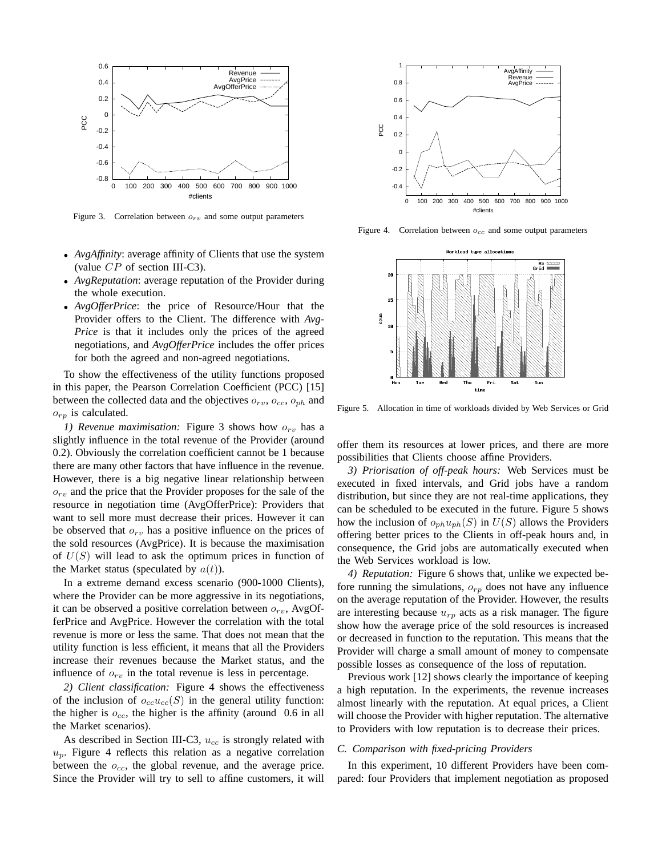

Figure 3. Correlation between  $o_{rv}$  and some output parameters

- *AvgAffinity*: average affinity of Clients that use the system (value  $CP$  of section III-C3).
- *AvgReputation*: average reputation of the Provider during the whole execution.
- *AvgOfferPrice*: the price of Resource/Hour that the Provider offers to the Client. The difference with *Avg-Price* is that it includes only the prices of the agreed negotiations, and *AvgOfferPrice* includes the offer prices for both the agreed and non-agreed negotiations.

To show the effectiveness of the utility functions proposed in this paper, the Pearson Correlation Coefficient (PCC) [15] between the collected data and the objectives  $o_{rv}$ ,  $o_{cc}$ ,  $o_{ph}$  and  $o_{rp}$  is calculated.

*1) Revenue maximisation:* Figure 3 shows how  $o_{rv}$  has a slightly influence in the total revenue of the Provider (around 0.2). Obviously the correlation coefficient cannot be 1 because there are many other factors that have influence in the revenue. However, there is a big negative linear relationship between  $o_{rv}$  and the price that the Provider proposes for the sale of the resource in negotiation time (AvgOfferPrice): Providers that want to sell more must decrease their prices. However it can be observed that  $o_{rv}$  has a positive influence on the prices of the sold resources (AvgPrice). It is because the maximisation of  $U(S)$  will lead to ask the optimum prices in function of the Market status (speculated by  $a(t)$ ).

In a extreme demand excess scenario (900-1000 Clients), where the Provider can be more aggressive in its negotiations, it can be observed a positive correlation between  $o_{rv}$ , AvgOfferPrice and AvgPrice. However the correlation with the total revenue is more or less the same. That does not mean that the utility function is less efficient, it means that all the Providers increase their revenues because the Market status, and the influence of  $o_{rv}$  in the total revenue is less in percentage.

*2) Client classification:* Figure 4 shows the effectiveness of the inclusion of  $o_{cc}u_{cc}(S)$  in the general utility function: the higher is  $o_{cc}$ , the higher is the affinity (around 0.6 in all the Market scenarios).

As described in Section III-C3,  $u_{cc}$  is strongly related with  $u_p$ . Figure 4 reflects this relation as a negative correlation between the  $o_{cc}$ , the global revenue, and the average price. Since the Provider will try to sell to affine customers, it will



Figure 4. Correlation between  $o_{cc}$  and some output parameters



Figure 5. Allocation in time of workloads divided by Web Services or Grid

offer them its resources at lower prices, and there are more possibilities that Clients choose affine Providers.

*3) Priorisation of off-peak hours:* Web Services must be executed in fixed intervals, and Grid jobs have a random distribution, but since they are not real-time applications, they can be scheduled to be executed in the future. Figure 5 shows how the inclusion of  $o_{ph}u_{ph}(S)$  in  $U(S)$  allows the Providers offering better prices to the Clients in off-peak hours and, in consequence, the Grid jobs are automatically executed when the Web Services workload is low.

*4) Reputation:* Figure 6 shows that, unlike we expected before running the simulations,  $o_{rp}$  does not have any influence on the average reputation of the Provider. However, the results are interesting because  $u_{rp}$  acts as a risk manager. The figure show how the average price of the sold resources is increased or decreased in function to the reputation. This means that the Provider will charge a small amount of money to compensate possible losses as consequence of the loss of reputation.

Previous work [12] shows clearly the importance of keeping a high reputation. In the experiments, the revenue increases almost linearly with the reputation. At equal prices, a Client will choose the Provider with higher reputation. The alternative to Providers with low reputation is to decrease their prices.

#### *C. Comparison with fixed-pricing Providers*

In this experiment, 10 different Providers have been compared: four Providers that implement negotiation as proposed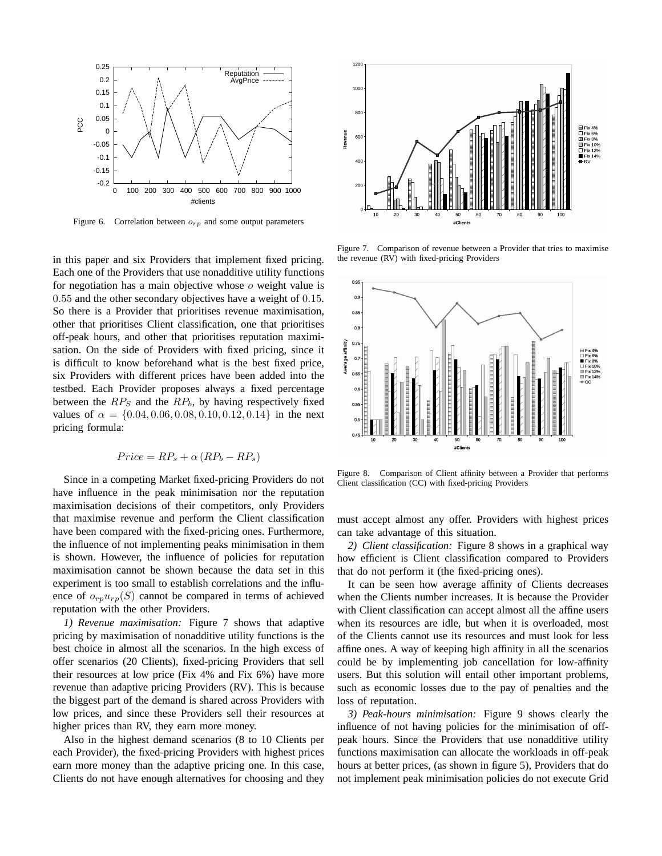

Figure 6. Correlation between  $o_{rp}$  and some output parameters

in this paper and six Providers that implement fixed pricing. Each one of the Providers that use nonadditive utility functions for negotiation has a main objective whose  $o$  weight value is 0.55 and the other secondary objectives have a weight of 0.15. So there is a Provider that prioritises revenue maximisation, other that prioritises Client classification, one that prioritises off-peak hours, and other that prioritises reputation maximisation. On the side of Providers with fixed pricing, since it is difficult to know beforehand what is the best fixed price, six Providers with different prices have been added into the testbed. Each Provider proposes always a fixed percentage between the  $RP<sub>S</sub>$  and the  $RP<sub>b</sub>$ , by having respectively fixed values of  $\alpha = \{0.04, 0.06, 0.08, 0.10, 0.12, 0.14\}$  in the next pricing formula:

$$
Price = RP_s + \alpha (RP_b - RP_s)
$$

Since in a competing Market fixed-pricing Providers do not have influence in the peak minimisation nor the reputation maximisation decisions of their competitors, only Providers that maximise revenue and perform the Client classification have been compared with the fixed-pricing ones. Furthermore, the influence of not implementing peaks minimisation in them is shown. However, the influence of policies for reputation maximisation cannot be shown because the data set in this experiment is too small to establish correlations and the influence of  $o_{rp}u_{rp}(S)$  cannot be compared in terms of achieved reputation with the other Providers.

*1) Revenue maximisation:* Figure 7 shows that adaptive pricing by maximisation of nonadditive utility functions is the best choice in almost all the scenarios. In the high excess of offer scenarios (20 Clients), fixed-pricing Providers that sell their resources at low price (Fix 4% and Fix 6%) have more revenue than adaptive pricing Providers (RV). This is because the biggest part of the demand is shared across Providers with low prices, and since these Providers sell their resources at higher prices than RV, they earn more money.

Also in the highest demand scenarios (8 to 10 Clients per each Provider), the fixed-pricing Providers with highest prices earn more money than the adaptive pricing one. In this case, Clients do not have enough alternatives for choosing and they



Figure 7. Comparison of revenue between a Provider that tries to maximise the revenue (RV) with fixed-pricing Providers



Figure 8. Comparison of Client affinity between a Provider that performs Client classification (CC) with fixed-pricing Providers

must accept almost any offer. Providers with highest prices can take advantage of this situation.

*2) Client classification:* Figure 8 shows in a graphical way how efficient is Client classification compared to Providers that do not perform it (the fixed-pricing ones).

It can be seen how average affinity of Clients decreases when the Clients number increases. It is because the Provider with Client classification can accept almost all the affine users when its resources are idle, but when it is overloaded, most of the Clients cannot use its resources and must look for less affine ones. A way of keeping high affinity in all the scenarios could be by implementing job cancellation for low-affinity users. But this solution will entail other important problems, such as economic losses due to the pay of penalties and the loss of reputation.

*3) Peak-hours minimisation:* Figure 9 shows clearly the influence of not having policies for the minimisation of offpeak hours. Since the Providers that use nonadditive utility functions maximisation can allocate the workloads in off-peak hours at better prices, (as shown in figure 5), Providers that do not implement peak minimisation policies do not execute Grid